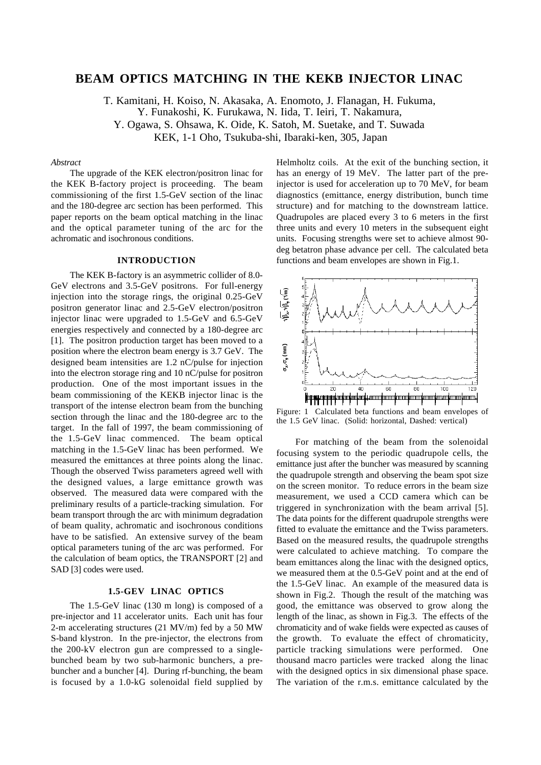# **BEAM OPTICS MATCHING IN THE KEKB INJECTOR LINAC**

T. Kamitani, H. Koiso, N. Akasaka, A. Enomoto, J. Flanagan, H. Fukuma,

Y. Funakoshi, K. Furukawa, N. Iida, T. Ieiri, T. Nakamura,

Y. Ogawa, S. Ohsawa, K. Oide, K. Satoh, M. Suetake, and T. Suwada

KEK, 1-1 Oho, Tsukuba-shi, Ibaraki-ken, 305, Japan

### *Abstract*

The upgrade of the KEK electron/positron linac for the KEK B-factory project is proceeding. The beam commissioning of the first 1.5-GeV section of the linac and the 180-degree arc section has been performed. This paper reports on the beam optical matching in the linac and the optical parameter tuning of the arc for the achromatic and isochronous conditions.

# **INTRODUCTION**

The KEK B-factory is an asymmetric collider of 8.0- GeV electrons and 3.5-GeV positrons. For full-energy injection into the storage rings, the original 0.25-GeV positron generator linac and 2.5-GeV electron/positron injector linac were upgraded to 1.5-GeV and 6.5-GeV energies respectively and connected by a 180-degree arc [1]. The positron production target has been moved to a position where the electron beam energy is 3.7 GeV. The designed beam intensities are 1.2 nC/pulse for injection into the electron storage ring and 10 nC/pulse for positron production. One of the most important issues in the beam commissioning of the KEKB injector linac is the transport of the intense electron beam from the bunching section through the linac and the 180-degree arc to the target. In the fall of 1997, the beam commissioning of the 1.5-GeV linac commenced. The beam optical matching in the 1.5-GeV linac has been performed. We measured the emittances at three points along the linac. Though the observed Twiss parameters agreed well with the designed values, a large emittance growth was observed. The measured data were compared with the preliminary results of a particle-tracking simulation. For beam transport through the arc with minimum degradation of beam quality, achromatic and isochronous conditions have to be satisfied. An extensive survey of the beam optical parameters tuning of the arc was performed. For the calculation of beam optics, the TRANSPORT [2] and SAD [3] codes were used.

# **1.5-GEV LINAC OPTICS**

The 1.5-GeV linac (130 m long) is composed of a pre-injector and 11 accelerator units. Each unit has four 2-m accelerating structures (21 MV/m) fed by a 50 MW S-band klystron. In the pre-injector, the electrons from the 200-kV electron gun are compressed to a singlebunched beam by two sub-harmonic bunchers, a prebuncher and a buncher [4]. During rf-bunching, the beam is focused by a 1.0-kG solenoidal field supplied by Helmholtz coils. At the exit of the bunching section, it has an energy of 19 MeV. The latter part of the preinjector is used for acceleration up to 70 MeV, for beam diagnostics (emittance, energy distribution, bunch time structure) and for matching to the downstream lattice. Quadrupoles are placed every 3 to 6 meters in the first three units and every 10 meters in the subsequent eight units. Focusing strengths were set to achieve almost 90 deg betatron phase advance per cell. The calculated beta functions and beam envelopes are shown in Fig.1.



Figure: 1 Calculated beta functions and beam envelopes of the 1.5 GeV linac. (Solid: horizontal, Dashed: vertical)

For matching of the beam from the solenoidal focusing system to the periodic quadrupole cells, the emittance just after the buncher was measured by scanning the quadrupole strength and observing the beam spot size on the screen monitor. To reduce errors in the beam size measurement, we used a CCD camera which can be triggered in synchronization with the beam arrival [5]. The data points for the different quadrupole strengths were fitted to evaluate the emittance and the Twiss parameters. Based on the measured results, the quadrupole strengths were calculated to achieve matching. To compare the beam emittances along the linac with the designed optics, we measured them at the 0.5-GeV point and at the end of the 1.5-GeV linac. An example of the measured data is shown in Fig.2. Though the result of the matching was good, the emittance was observed to grow along the length of the linac, as shown in Fig.3. The effects of the chromaticity and of wake fields were expected as causes of the growth. To evaluate the effect of chromaticity, particle tracking simulations were performed. One thousand macro particles were tracked along the linac with the designed optics in six dimensional phase space. The variation of the r.m.s. emittance calculated by the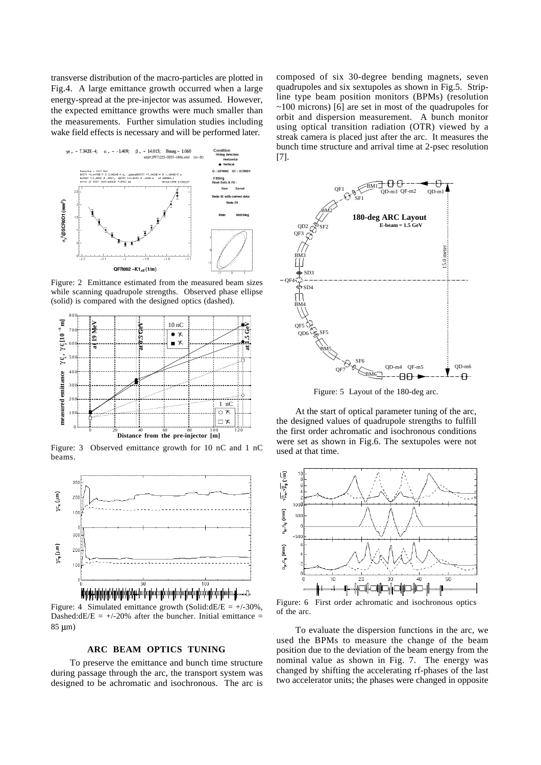transverse distribution of the macro-particles are plotted in Fig.4. A large emittance growth occurred when a large energy-spread at the pre-injector was assumed. However, the expected emittance growths were much smaller than the measurements. Further simulation studies including wake field effects is necessary and will be performed later.



Figure: 2 Emittance estimated from the measured beam sizes while scanning quadrupole strengths. Observed phase ellipse (solid) is compared with the designed optics (dashed).



Figure: 3 Observed emittance growth for 10 nC and 1 nC beams.



Figure: 4 Simulated emittance growth (Solid: $dE/E = +/-30\%$ , Dashed:dE/E =  $+/-20\%$  after the buncher. Initial emittance = 85 µm)

## **ARC BEAM OPTICS TUNING**

To preserve the emittance and bunch time structure during passage through the arc, the transport system was designed to be achromatic and isochronous. The arc is composed of six 30-degree bending magnets, seven quadrupoles and six sextupoles as shown in Fig.5. Stripline type beam position monitors (BPMs) (resolution  $\sim$ 100 microns) [6] are set in most of the quadrupoles for orbit and dispersion measurement. A bunch monitor using optical transition radiation (OTR) viewed by a streak camera is placed just after the arc. It measures the bunch time structure and arrival time at 2-psec resolution [7].



Figure: 5 Layout of the 180-deg arc.

At the start of optical parameter tuning of the arc, the designed values of quadrupole strengths to fulfill the first order achromatic and isochronous conditions were set as shown in Fig.6. The sextupoles were not used at that time.



Figure: 6 First order achromatic and isochronous optics of the arc.

To evaluate the dispersion functions in the arc, we used the BPMs to measure the change of the beam position due to the deviation of the beam energy from the nominal value as shown in Fig. 7. The energy was changed by shifting the accelerating rf-phases of the last two accelerator units; the phases were changed in opposite